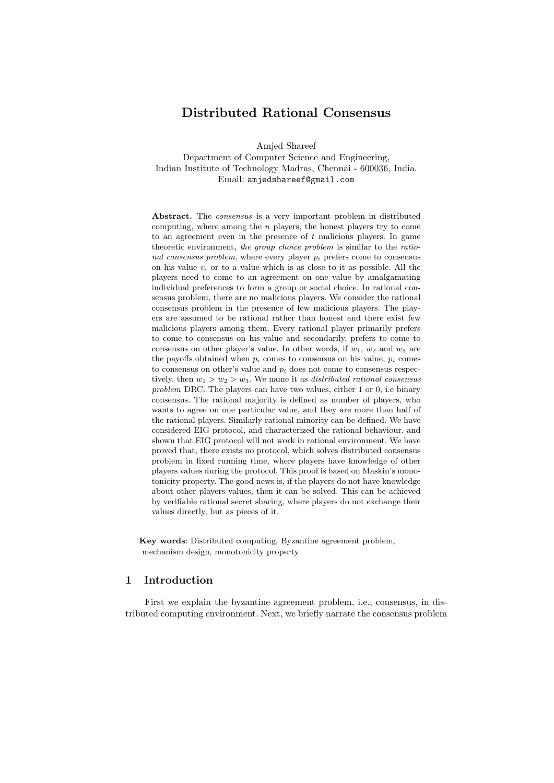# **Distributed Rational Consensus**

Amjed Shareef

Department of Computer Science and Engineering, Indian Institute of Technology Madras, Chennai - 600036, India. Email: amjedshareef@gmail.com

**Abstract.** The *consensus* is a very important problem in distributed computing, where among the *n* players, the honest players try to come to an agreement even in the presence of *t* malicious players. In game theoretic environment, *the group choice problem* is similar to the *rational consensus problem,* where every player  $p_i$  prefers come to consensus on his value  $v_i$  or to a value which is as close to it as possible. All the players need to come to an agreement on one value by amalgamating individual preferences to form a group or social choice. In rational consensus problem, there are no malicious players. We consider the rational consensus problem in the presence of few malicious players. The players are assumed to be rational rather than honest and there exist few malicious players among them. Every rational player primarily prefers to come to consensus on his value and secondarily, prefers to come to consensus on other player's value. In other words, if  $w_1$ ,  $w_2$  and  $w_3$  are the payoffs obtained when  $p_i$  comes to consensus on his value,  $p_i$  comes to consensus on other's value and  $p_i$  does not come to consensus respectively, then  $w_1 > w_2 > w_3$ . We name it as *distributed rational consensus problem* DRC. The players can have two values, either 1 or 0, i.e binary consensus. The rational majority is defined as number of players, who wants to agree on one particular value, and they are more than half of the rational players. Similarly rational minority can be defined. We have considered EIG protocol, and characterized the rational behaviour, and shown that EIG protocol will not work in rational environment. We have proved that, there exists no protocol, which solves distributed consensus problem in fixed running time, where players have knowledge of other players values during the protocol. This proof is based on Maskin's monotonicity property. The good news is, if the players do not have knowledge about other players values, then it can be solved. This can be achieved by verifiable rational secret sharing, where players do not exchange their values directly, but as pieces of it.

**Key words**: Distributed computing, Byzantine agreement problem, mechanism design, monotonicity property

### **1 Introduction**

First we explain the byzantine agreement problem, i.e., consensus, in distributed computing environment. Next, we briefly narrate the consensus problem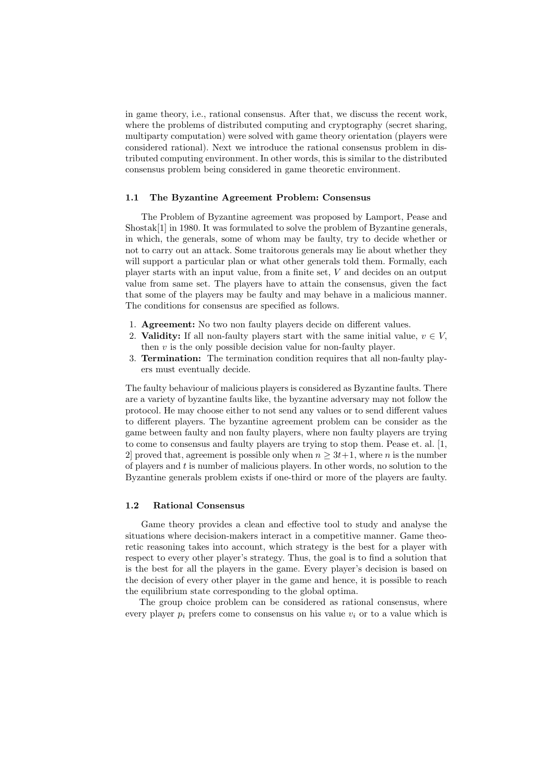in game theory, i.e., rational consensus. After that, we discuss the recent work, where the problems of distributed computing and cryptography (secret sharing, multiparty computation) were solved with game theory orientation (players were considered rational). Next we introduce the rational consensus problem in distributed computing environment. In other words, this is similar to the distributed consensus problem being considered in game theoretic environment.

#### **1.1 The Byzantine Agreement Problem: Consensus**

The Problem of Byzantine agreement was proposed by Lamport, Pease and Shostak[1] in 1980. It was formulated to solve the problem of Byzantine generals, in which, the generals, some of whom may be faulty, try to decide whether or not to carry out an attack. Some traitorous generals may lie about whether they will support a particular plan or what other generals told them. Formally, each player starts with an input value, from a finite set, *V* and decides on an output value from same set. The players have to attain the consensus, given the fact that some of the players may be faulty and may behave in a malicious manner. The conditions for consensus are specified as follows.

- 1. **Agreement:** No two non faulty players decide on different values.
- 2. **Validity:** If all non-faulty players start with the same initial value,  $v \in V$ , then  $v$  is the only possible decision value for non-faulty player.
- 3. **Termination:** The termination condition requires that all non-faulty players must eventually decide.

The faulty behaviour of malicious players is considered as Byzantine faults. There are a variety of byzantine faults like, the byzantine adversary may not follow the protocol. He may choose either to not send any values or to send different values to different players. The byzantine agreement problem can be consider as the game between faulty and non faulty players, where non faulty players are trying to come to consensus and faulty players are trying to stop them. Pease et. al. [1, 2] proved that, agreement is possible only when  $n \geq 3t+1$ , where *n* is the number of players and *t* is number of malicious players. In other words, no solution to the Byzantine generals problem exists if one-third or more of the players are faulty.

### **1.2 Rational Consensus**

Game theory provides a clean and effective tool to study and analyse the situations where decision-makers interact in a competitive manner. Game theoretic reasoning takes into account, which strategy is the best for a player with respect to every other player's strategy. Thus, the goal is to find a solution that is the best for all the players in the game. Every player's decision is based on the decision of every other player in the game and hence, it is possible to reach the equilibrium state corresponding to the global optima.

The group choice problem can be considered as rational consensus, where every player  $p_i$  prefers come to consensus on his value  $v_i$  or to a value which is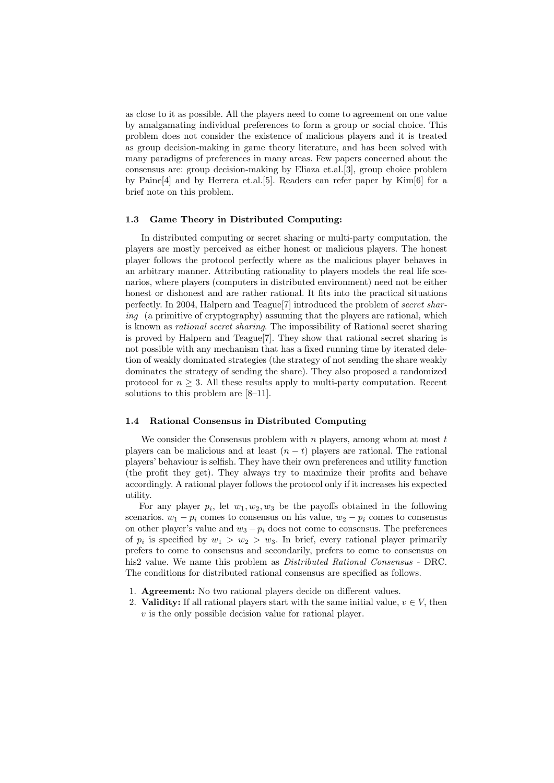as close to it as possible. All the players need to come to agreement on one value by amalgamating individual preferences to form a group or social choice. This problem does not consider the existence of malicious players and it is treated as group decision-making in game theory literature, and has been solved with many paradigms of preferences in many areas. Few papers concerned about the consensus are: group decision-making by Eliaza et.al.[3], group choice problem by Paine[4] and by Herrera et.al.[5]. Readers can refer paper by Kim[6] for a brief note on this problem.

#### **1.3 Game Theory in Distributed Computing:**

In distributed computing or secret sharing or multi-party computation, the players are mostly perceived as either honest or malicious players. The honest player follows the protocol perfectly where as the malicious player behaves in an arbitrary manner. Attributing rationality to players models the real life scenarios, where players (computers in distributed environment) need not be either honest or dishonest and are rather rational. It fits into the practical situations perfectly. In 2004, Halpern and Teague[7] introduced the problem of *secret sharing* (a primitive of cryptography) assuming that the players are rational, which is known as *rational secret sharing*. The impossibility of Rational secret sharing is proved by Halpern and Teague[7]. They show that rational secret sharing is not possible with any mechanism that has a fixed running time by iterated deletion of weakly dominated strategies (the strategy of not sending the share weakly dominates the strategy of sending the share). They also proposed a randomized protocol for  $n \geq 3$ . All these results apply to multi-party computation. Recent solutions to this problem are [8–11].

#### **1.4 Rational Consensus in Distributed Computing**

We consider the Consensus problem with *n* players, among whom at most *t* players can be malicious and at least  $(n - t)$  players are rational. The rational players' behaviour is selfish. They have their own preferences and utility function (the profit they get). They always try to maximize their profits and behave accordingly. A rational player follows the protocol only if it increases his expected utility.

For any player  $p_i$ , let  $w_1, w_2, w_3$  be the payoffs obtained in the following scenarios.  $w_1 - p_i$  comes to consensus on his value,  $w_2 - p_i$  comes to consensus on other player's value and  $w_3 - p_i$  does not come to consensus. The preferences of  $p_i$  is specified by  $w_1 > w_2 > w_3$ . In brief, every rational player primarily prefers to come to consensus and secondarily, prefers to come to consensus on his2 value. We name this problem as *Distributed Rational Consensus* - DRC. The conditions for distributed rational consensus are specified as follows.

- 1. **Agreement:** No two rational players decide on different values.
- 2. **Validity:** If all rational players start with the same initial value,  $v \in V$ , then *v* is the only possible decision value for rational player.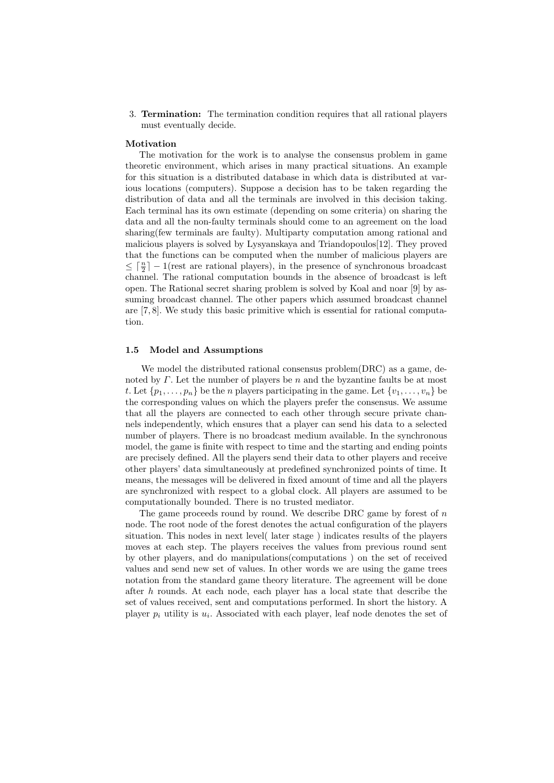3. **Termination:** The termination condition requires that all rational players must eventually decide.

#### **Motivation**

The motivation for the work is to analyse the consensus problem in game theoretic environment, which arises in many practical situations. An example for this situation is a distributed database in which data is distributed at various locations (computers). Suppose a decision has to be taken regarding the distribution of data and all the terminals are involved in this decision taking. Each terminal has its own estimate (depending on some criteria) on sharing the data and all the non-faulty terminals should come to an agreement on the load sharing(few terminals are faulty). Multiparty computation among rational and malicious players is solved by Lysyanskaya and Triandopoulos[12]. They proved that the functions can be computed when the number of malicious players are  $\leq \lceil \frac{n}{2} \rceil - 1$ (rest are rational players), in the presence of synchronous broadcast channel. The rational computation bounds in the absence of broadcast is left open. The Rational secret sharing problem is solved by Koal and noar [9] by assuming broadcast channel. The other papers which assumed broadcast channel are [7, 8]. We study this basic primitive which is essential for rational computation.

#### **1.5 Model and Assumptions**

We model the distributed rational consensus problem(DRC) as a game, denoted by *Γ*. Let the number of players be *n* and the byzantine faults be at most *t*. Let  $\{p_1, \ldots, p_n\}$  be the *n* players participating in the game. Let  $\{v_1, \ldots, v_n\}$  be the corresponding values on which the players prefer the consensus. We assume that all the players are connected to each other through secure private channels independently, which ensures that a player can send his data to a selected number of players. There is no broadcast medium available. In the synchronous model, the game is finite with respect to time and the starting and ending points are precisely defined. All the players send their data to other players and receive other players' data simultaneously at predefined synchronized points of time. It means, the messages will be delivered in fixed amount of time and all the players are synchronized with respect to a global clock. All players are assumed to be computationally bounded. There is no trusted mediator.

The game proceeds round by round. We describe DRC game by forest of *n* node. The root node of the forest denotes the actual configuration of the players situation. This nodes in next level( later stage ) indicates results of the players moves at each step. The players receives the values from previous round sent by other players, and do manipulations(computations ) on the set of received values and send new set of values. In other words we are using the game trees notation from the standard game theory literature. The agreement will be done after *h* rounds. At each node, each player has a local state that describe the set of values received, sent and computations performed. In short the history. A player  $p_i$  utility is  $u_i$ . Associated with each player, leaf node denotes the set of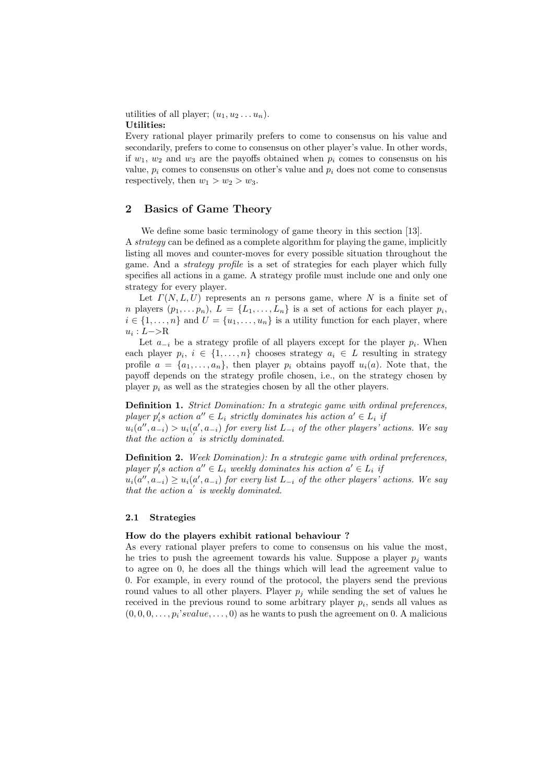utilities of all player;  $(u_1, u_2 \ldots u_n)$ . **Utilities:**

Every rational player primarily prefers to come to consensus on his value and secondarily, prefers to come to consensus on other player's value. In other words, if  $w_1, w_2$  and  $w_3$  are the payoffs obtained when  $p_i$  comes to consensus on his value,  $p_i$  comes to consensus on other's value and  $p_i$  does not come to consensus respectively, then  $w_1 > w_2 > w_3$ .

### **2 Basics of Game Theory**

We define some basic terminology of game theory in this section [13]. A *strategy* can be defined as a complete algorithm for playing the game, implicitly listing all moves and counter-moves for every possible situation throughout the game. And a *strategy profile* is a set of strategies for each player which fully specifies all actions in a game. A strategy profile must include one and only one strategy for every player.

Let  $\Gamma(N, L, U)$  represents an *n* persons game, where *N* is a finite set of *n* players  $(p_1, \ldots, p_n)$ ,  $L = \{L_1, \ldots, L_n\}$  is a set of actions for each player  $p_i$ ,  $i \in \{1, \ldots, n\}$  and  $U = \{u_1, \ldots, u_n\}$  is a utility function for each player, where *ui* : *L−>*R

Let  $a_{-i}$  be a strategy profile of all players except for the player  $p_i$ . When each player  $p_i, i \in \{1, \ldots, n\}$  chooses strategy  $a_i \in L$  resulting in strategy profile  $a = \{a_1, \ldots, a_n\}$ , then player  $p_i$  obtains payoff  $u_i(a)$ . Note that, the payoff depends on the strategy profile chosen, i.e., on the strategy chosen by player  $p_i$  as well as the strategies chosen by all the other players.

**Definition 1.** *Strict Domination: In a strategic game with ordinal preferences,*  $p$ *layer*  $p'_i$ *s* action  $a'' \in L_i$  strictly dominates his action  $a' \in L_i$  *if* 

 $u_i(a'', a_{-i}) > u_i(a', a_{-i})$  for every list  $L_{-i}$  of the other players' actions. We say *that the action*  $a'$  *is strictly dominated.* 

**Definition 2.** *Week Domination): In a strategic game with ordinal preferences,*  $p$ *layer*  $p'_i$ *s* action  $a'' \in L_i$  weekly dominates his action  $a' \in L_i$  *if* 

 $u_i(a'',a_{-i}) \geq u_i(a',a_{-i})$  for every list  $L_{-i}$  of the other players' actions. We say *that the action*  $a'$  *is weekly dominated.* 

#### **2.1 Strategies**

#### **How do the players exhibit rational behaviour ?**

As every rational player prefers to come to consensus on his value the most, he tries to push the agreement towards his value. Suppose a player  $p_j$  wants to agree on 0, he does all the things which will lead the agreement value to 0. For example, in every round of the protocol, the players send the previous round values to all other players. Player  $p_j$  while sending the set of values he received in the previous round to some arbitrary player *p<sup>i</sup>* , sends all values as  $(0,0,0,\ldots,p_i's value,\ldots,0)$  as he wants to push the agreement on 0. A malicious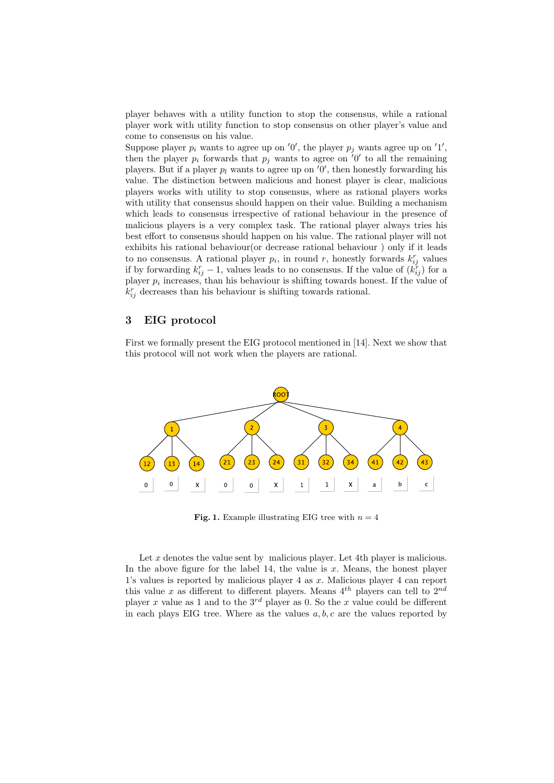player behaves with a utility function to stop the consensus, while a rational player work with utility function to stop consensus on other player's value and come to consensus on his value.

Suppose player  $p_i$  wants to agree up on '0', the player  $p_j$  wants agree up on '1', then the player  $p_i$  forwards that  $p_j$  wants to agree on  $'0'$  to all the remaining players. But if a player  $p_l$  wants to agree up on  $'0'$ , then honestly forwarding his value. The distinction between malicious and honest player is clear, malicious players works with utility to stop consensus, where as rational players works with utility that consensus should happen on their value. Building a mechanism which leads to consensus irrespective of rational behaviour in the presence of malicious players is a very complex task. The rational player always tries his best effort to consensus should happen on his value. The rational player will not exhibits his rational behaviour(or decrease rational behaviour ) only if it leads to no consensus. A rational player  $p_i$ , in round  $r$ , honestly forwards  $k_{ij}^r$  values if by forwarding  $k_{ij}^r - 1$ , values leads to no consensus. If the value of  $(k_{ij}^r)$  for a player *p<sup>i</sup>* increases, than his behaviour is shifting towards honest. If the value of  $k_{ij}^r$  decreases than his behaviour is shifting towards rational.

### **3 EIG protocol**

First we formally present the EIG protocol mentioned in [14]. Next we show that this protocol will not work when the players are rational.



**Fig. 1.** Example illustrating EIG tree with  $n = 4$ 

Let x denotes the value sent by malicious player. Let 4th player is malicious. In the above figure for the label 14, the value is *x*. Means, the honest player 1's values is reported by malicious player 4 as *x*. Malicious player 4 can report this value *x* as different to different players. Means  $4^{th}$  players can tell to  $2^{nd}$ player *x* value as 1 and to the  $3^{rd}$  player as 0. So the *x* value could be different in each plays EIG tree. Where as the values *a, b, c* are the values reported by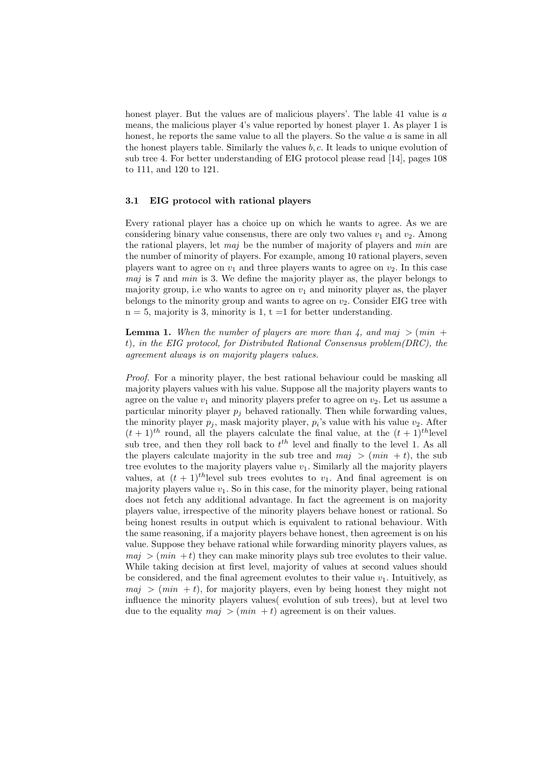honest player. But the values are of malicious players'. The lable 41 value is *a* means, the malicious player 4's value reported by honest player 1. As player 1 is honest, he reports the same value to all the players. So the value *a* is same in all the honest players table. Similarly the values *b, c*. It leads to unique evolution of sub tree 4. For better understanding of EIG protocol please read [14], pages 108 to 111, and 120 to 121.

#### **3.1 EIG protocol with rational players**

Every rational player has a choice up on which he wants to agree. As we are considering binary value consensus, there are only two values  $v_1$  and  $v_2$ . Among the rational players, let *maj* be the number of majority of players and *min* are the number of minority of players. For example, among 10 rational players, seven players want to agree on  $v_1$  and three players wants to agree on  $v_2$ . In this case *maj* is 7 and *min* is 3. We define the majority player as, the player belongs to majority group, i.e who wants to agree on  $v_1$  and minority player as, the player belongs to the minority group and wants to agree on  $v_2$ . Consider EIG tree with  $n = 5$ , majority is 3, minority is 1,  $t = 1$  for better understanding.

**Lemma 1.** When the number of players are more than 4, and maj  $>$  (min + *t*)*, in the EIG protocol, for Distributed Rational Consensus problem(DRC), the agreement always is on majority players values.*

*Proof.* For a minority player, the best rational behaviour could be masking all majority players values with his value. Suppose all the majority players wants to agree on the value  $v_1$  and minority players prefer to agree on  $v_2$ . Let us assume a particular minority player  $p_j$  behaved rationally. Then while forwarding values, the minority player  $p_j$ , mask majority player,  $p_i$ 's value with his value  $v_2$ . After  $(t+1)$ <sup>th</sup> round, all the players calculate the final value, at the  $(t+1)$ <sup>th</sup>level sub tree, and then they roll back to *t th* level and finally to the level 1. As all the players calculate majority in the sub tree and  $maj$   $>$   $(min + t)$ , the sub tree evolutes to the majority players value  $v_1$ . Similarly all the majority players values, at  $(t + 1)^{th}$ level sub trees evolutes to  $v_1$ . And final agreement is on majority players value  $v_1$ . So in this case, for the minority player, being rational does not fetch any additional advantage. In fact the agreement is on majority players value, irrespective of the minority players behave honest or rational. So being honest results in output which is equivalent to rational behaviour. With the same reasoning, if a majority players behave honest, then agreement is on his value. Suppose they behave rational while forwarding minority players values, as  $maj$   $>$   $(min + t)$  they can make minority plays sub tree evolutes to their value. While taking decision at first level, majority of values at second values should be considered, and the final agreement evolutes to their value  $v_1$ . Intuitively, as  $maj$  >  $(min + t)$ , for majority players, even by being honest they might not influence the minority players values( evolution of sub trees), but at level two due to the equality  $maj > (min + t)$  agreement is on their values.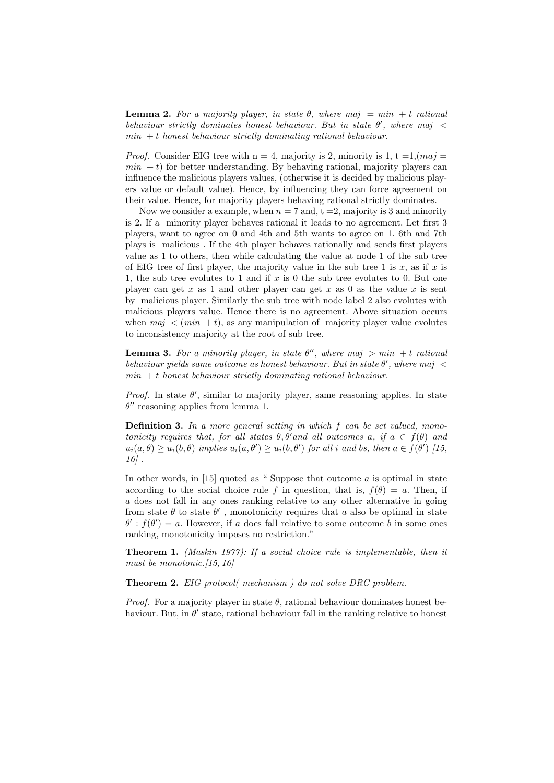**Lemma 2.** For a majority player, in state  $\theta$ , where maj =  $min + t$  rational *behaviour strictly dominates honest behaviour. But in state*  $\theta'$ , where maj < *min* + *t honest behaviour strictly dominating rational behaviour.*

*Proof.* Consider EIG tree with  $n = 4$ , majority is 2, minority is 1,  $t = 1$ ,  $(maj = 1)$  $min + t$ ) for better understanding. By behaving rational, majority players can influence the malicious players values, (otherwise it is decided by malicious players value or default value). Hence, by influencing they can force agreement on their value. Hence, for majority players behaving rational strictly dominates.

Now we consider a example, when  $n = 7$  and,  $t = 2$ , majority is 3 and minority is 2. If a minority player behaves rational it leads to no agreement. Let first 3 players, want to agree on 0 and 4th and 5th wants to agree on 1. 6th and 7th plays is malicious . If the 4th player behaves rationally and sends first players value as 1 to others, then while calculating the value at node 1 of the sub tree of EIG tree of first player, the majority value in the sub tree 1 is  $x$ , as if  $x$  is 1, the sub tree evolutes to 1 and if *x* is 0 the sub tree evolutes to 0. But one player can get  $x$  as 1 and other player can get  $x$  as 0 as the value  $x$  is sent by malicious player. Similarly the sub tree with node label 2 also evolutes with malicious players value. Hence there is no agreement. Above situation occurs when  $maj < (min + t)$ , as any manipulation of majority player value evolutes to inconsistency majority at the root of sub tree.

**Lemma 3.** For a minority player, in state  $\theta''$ , where maj  $> min + t$  rational *behaviour yields same outcome as honest behaviour. But in state*  $\theta'$ , where maj  $\lt$  $min + t$  *honest behaviour strictly dominating rational behaviour.* 

*Proof.* In state  $\theta'$ , similar to majority player, same reasoning applies. In state  $\theta''$  reasoning applies from lemma 1.

**Definition 3.** *In a more general setting in which f can be set valued, monotonicity requires that, for all states*  $\theta$ ,  $\theta'$  *and all outcomes*  $a$ , *if*  $a \in f(\theta)$  *and*  $u_i(a, \theta) \geq u_i(b, \theta)$  implies  $u_i(a, \theta') \geq u_i(b, \theta')$  for all i and bs, then  $a \in f(\theta')$  [15, *16] .*

In other words, in [15] quoted as " Suppose that outcome *a* is optimal in state according to the social choice rule *f* in question, that is,  $f(\theta) = a$ . Then, if *a* does not fall in any ones ranking relative to any other alternative in going from state  $\theta$  to state  $\theta'$ , monotonicity requires that *a* also be optimal in state  $\theta'$ :  $f(\theta') = a$ . However, if *a* does fall relative to some outcome *b* in some ones ranking, monotonicity imposes no restriction."

**Theorem 1.** *(Maskin 1977): If a social choice rule is implementable, then it must be monotonic.[15, 16]*

**Theorem 2.** *EIG protocol( mechanism ) do not solve DRC problem.*

*Proof.* For a majority player in state *θ*, rational behaviour dominates honest behaviour. But, in  $\theta'$  state, rational behaviour fall in the ranking relative to honest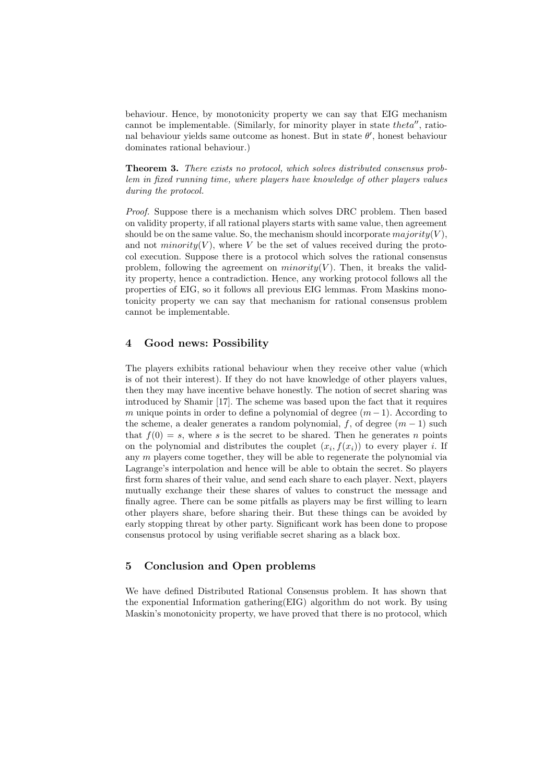behaviour. Hence, by monotonicity property we can say that EIG mechanism cannot be implementable. (Similarly, for minority player in state *theta<sup>n</sup>*, rational behaviour yields same outcome as honest. But in state *θ 0* , honest behaviour dominates rational behaviour.)

**Theorem 3.** *There exists no protocol, which solves distributed consensus problem in fixed running time, where players have knowledge of other players values during the protocol.*

*Proof.* Suppose there is a mechanism which solves DRC problem. Then based on validity property, if all rational players starts with same value, then agreement should be on the same value. So, the mechanism should incorporate  $majority(V)$ , and not  $minority(V)$ , where *V* be the set of values received during the protocol execution. Suppose there is a protocol which solves the rational consensus problem, following the agreement on  $minority(V)$ . Then, it breaks the validity property, hence a contradiction. Hence, any working protocol follows all the properties of EIG, so it follows all previous EIG lemmas. From Maskins monotonicity property we can say that mechanism for rational consensus problem cannot be implementable.

## **4 Good news: Possibility**

The players exhibits rational behaviour when they receive other value (which is of not their interest). If they do not have knowledge of other players values, then they may have incentive behave honestly. The notion of secret sharing was introduced by Shamir [17]. The scheme was based upon the fact that it requires *m* unique points in order to define a polynomial of degree  $(m-1)$ . According to the scheme, a dealer generates a random polynomial, *f*, of degree (*m −* 1) such that  $f(0) = s$ , where *s* is the secret to be shared. Then he generates *n* points on the polynomial and distributes the couplet  $(x_i, f(x_i))$  to every player *i*. If any *m* players come together, they will be able to regenerate the polynomial via Lagrange's interpolation and hence will be able to obtain the secret. So players first form shares of their value, and send each share to each player. Next, players mutually exchange their these shares of values to construct the message and finally agree. There can be some pitfalls as players may be first willing to learn other players share, before sharing their. But these things can be avoided by early stopping threat by other party. Significant work has been done to propose consensus protocol by using verifiable secret sharing as a black box.

## **5 Conclusion and Open problems**

We have defined Distributed Rational Consensus problem. It has shown that the exponential Information gathering(EIG) algorithm do not work. By using Maskin's monotonicity property, we have proved that there is no protocol, which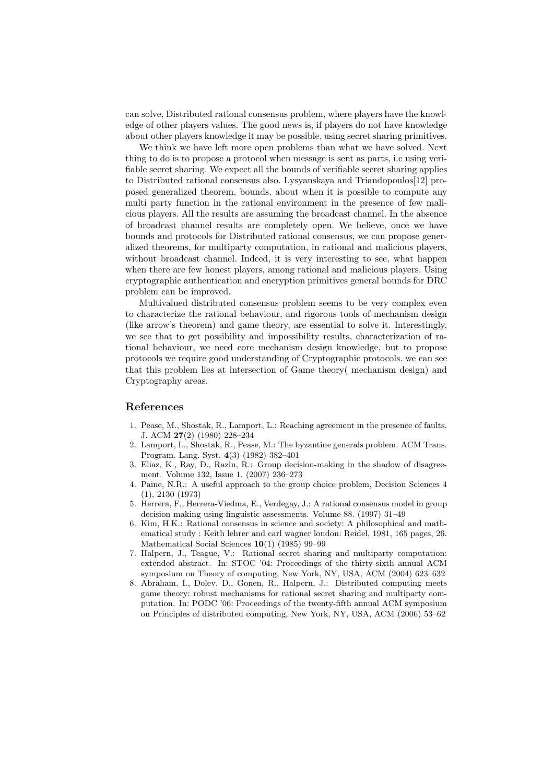can solve, Distributed rational consensus problem, where players have the knowledge of other players values. The good news is, if players do not have knowledge about other players knowledge it may be possible, using secret sharing primitives.

We think we have left more open problems than what we have solved. Next thing to do is to propose a protocol when message is sent as parts, i.e using verifiable secret sharing. We expect all the bounds of verifiable secret sharing applies to Distributed rational consensus also. Lysyanskaya and Triandopoulos[12] proposed generalized theorem, bounds, about when it is possible to compute any multi party function in the rational environment in the presence of few malicious players. All the results are assuming the broadcast channel. In the absence of broadcast channel results are completely open. We believe, once we have bounds and protocols for Distributed rational consensus, we can propose generalized theorems, for multiparty computation, in rational and malicious players, without broadcast channel. Indeed, it is very interesting to see, what happen when there are few honest players, among rational and malicious players. Using cryptographic authentication and encryption primitives general bounds for DRC problem can be improved.

Multivalued distributed consensus problem seems to be very complex even to characterize the rational behaviour, and rigorous tools of mechanism design (like arrow's theorem) and game theory, are essential to solve it. Interestingly, we see that to get possibility and impossibility results, characterization of rational behaviour, we need core mechanism design knowledge, but to propose protocols we require good understanding of Cryptographic protocols. we can see that this problem lies at intersection of Game theory( mechanism design) and Cryptography areas.

### **References**

- 1. Pease, M., Shostak, R., Lamport, L.: Reaching agreement in the presence of faults. J. ACM **27**(2) (1980) 228–234
- 2. Lamport, L., Shostak, R., Pease, M.: The byzantine generals problem. ACM Trans. Program. Lang. Syst. **4**(3) (1982) 382–401
- 3. Eliaz, K., Ray, D., Razin, R.: Group decision-making in the shadow of disagreement. Volume 132, Issue 1. (2007) 236–273
- 4. Paine, N.R.: A useful approach to the group choice problem, Decision Sciences 4 (1), 2130 (1973)
- 5. Herrera, F., Herrera-Viedma, E., Verdegay, J.: A rational consensus model in group decision making using linguistic assessments. Volume 88. (1997) 31–49
- 6. Kim, H.K.: Rational consensus in science and society: A philosophical and mathematical study : Keith lehrer and carl wagner london: Reidel, 1981, 165 pages, 26. Mathematical Social Sciences **10**(1) (1985) 99–99
- 7. Halpern, J., Teague, V.: Rational secret sharing and multiparty computation: extended abstract. In: STOC '04: Proceedings of the thirty-sixth annual ACM symposium on Theory of computing, New York, NY, USA, ACM (2004) 623–632
- 8. Abraham, I., Dolev, D., Gonen, R., Halpern, J.: Distributed computing meets game theory: robust mechanisms for rational secret sharing and multiparty computation. In: PODC '06: Proceedings of the twenty-fifth annual ACM symposium on Principles of distributed computing, New York, NY, USA, ACM (2006) 53–62